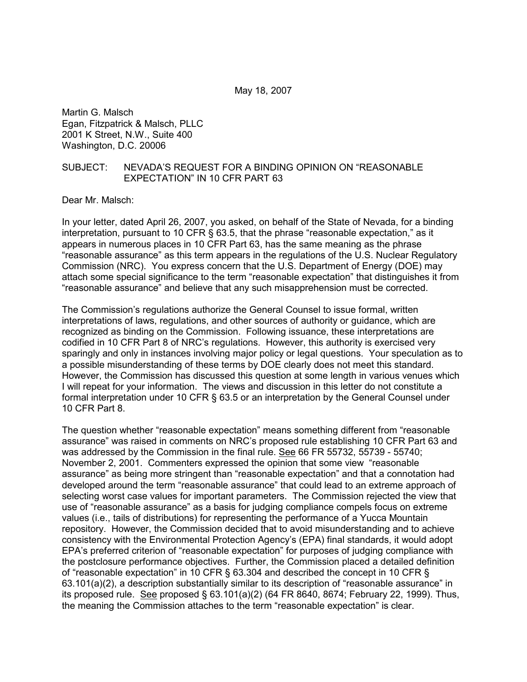May 18, 2007

Martin G. Malsch Egan, Fitzpatrick & Malsch, PLLC 2001 K Street, N.W., Suite 400 Washington, D.C. 20006

# SUBJECT: NEVADA'S REQUEST FOR A BINDING OPINION ON "REASONABLE EXPECTATION" IN 10 CFR PART 63

Dear Mr. Malsch:

In your letter, dated April 26, 2007, you asked, on behalf of the State of Nevada, for a binding interpretation, pursuant to 10 CFR § 63.5, that the phrase "reasonable expectation," as it appears in numerous places in 10 CFR Part 63, has the same meaning as the phrase "reasonable assurance" as this term appears in the regulations of the U.S. Nuclear Regulatory Commission (NRC). You express concern that the U.S. Department of Energy (DOE) may attach some special significance to the term "reasonable expectation" that distinguishes it from "reasonable assurance" and believe that any such misapprehension must be corrected.

The Commission's regulations authorize the General Counsel to issue formal, written interpretations of laws, regulations, and other sources of authority or guidance, which are recognized as binding on the Commission. Following issuance, these interpretations are codified in 10 CFR Part 8 of NRC's regulations. However, this authority is exercised very sparingly and only in instances involving major policy or legal questions. Your speculation as to a possible misunderstanding of these terms by DOE clearly does not meet this standard. However, the Commission has discussed this question at some length in various venues which I will repeat for your information. The views and discussion in this letter do not constitute a formal interpretation under 10 CFR § 63.5 or an interpretation by the General Counsel under 10 CFR Part 8.

The question whether "reasonable expectation" means something different from "reasonable assurance" was raised in comments on NRC's proposed rule establishing 10 CFR Part 63 and was addressed by the Commission in the final rule. See 66 FR 55732, 55739 - 55740; November 2, 2001. Commenters expressed the opinion that some view "reasonable assurance" as being more stringent than "reasonable expectation" and that a connotation had developed around the term "reasonable assurance" that could lead to an extreme approach of selecting worst case values for important parameters. The Commission rejected the view that use of "reasonable assurance" as a basis for judging compliance compels focus on extreme values (i.e., tails of distributions) for representing the performance of a Yucca Mountain repository. However, the Commission decided that to avoid misunderstanding and to achieve consistency with the Environmental Protection Agency's (EPA) final standards, it would adopt EPA's preferred criterion of "reasonable expectation" for purposes of judging compliance with the postclosure performance objectives. Further, the Commission placed a detailed definition of "reasonable expectation" in 10 CFR § 63.304 and described the concept in 10 CFR § 63.101(a)(2), a description substantially similar to its description of "reasonable assurance" in its proposed rule. See proposed § 63.101(a)(2) (64 FR 8640, 8674; February 22, 1999). Thus, the meaning the Commission attaches to the term "reasonable expectation" is clear.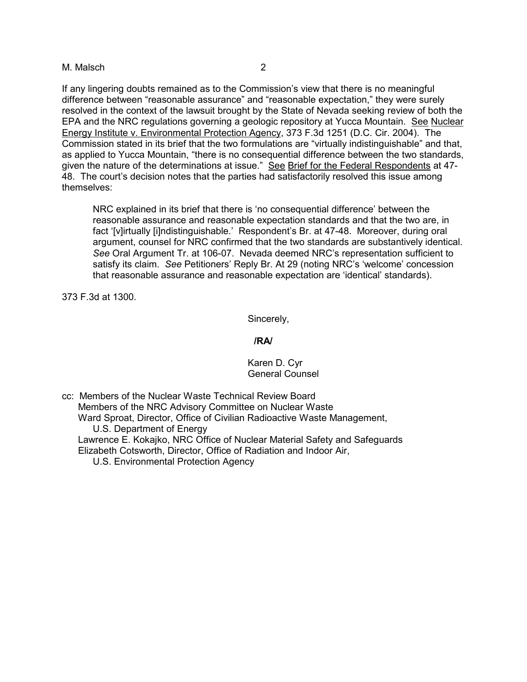### M. Malsch 2

If any lingering doubts remained as to the Commission's view that there is no meaningful difference between "reasonable assurance" and "reasonable expectation," they were surely resolved in the context of the lawsuit brought by the State of Nevada seeking review of both the EPA and the NRC regulations governing a geologic repository at Yucca Mountain. See Nuclear Energy Institute v. Environmental Protection Agency, 373 F.3d 1251 (D.C. Cir. 2004). The Commission stated in its brief that the two formulations are "virtually indistinguishable" and that, as applied to Yucca Mountain, "there is no consequential difference between the two standards, given the nature of the determinations at issue." See Brief for the Federal Respondents at 47- 48. The court's decision notes that the parties had satisfactorily resolved this issue among themselves:

NRC explained in its brief that there is 'no consequential difference' between the reasonable assurance and reasonable expectation standards and that the two are, in fact '[v]irtually [i]ndistinguishable.' Respondent's Br. at 47-48. Moreover, during oral argument, counsel for NRC confirmed that the two standards are substantively identical. *See* Oral Argument Tr. at 106-07. Nevada deemed NRC's representation sufficient to satisfy its claim. *See* Petitioners' Reply Br. At 29 (noting NRC's 'welcome' concession that reasonable assurance and reasonable expectation are 'identical' standards).

373 F.3d at 1300.

Sincerely,

## **/RA/**

### Karen D. Cyr General Counsel

cc: Members of the Nuclear Waste Technical Review Board Members of the NRC Advisory Committee on Nuclear Waste Ward Sproat, Director, Office of Civilian Radioactive Waste Management, U.S. Department of Energy Lawrence E. Kokajko, NRC Office of Nuclear Material Safety and Safeguards Elizabeth Cotsworth, Director, Office of Radiation and Indoor Air, U.S. Environmental Protection Agency